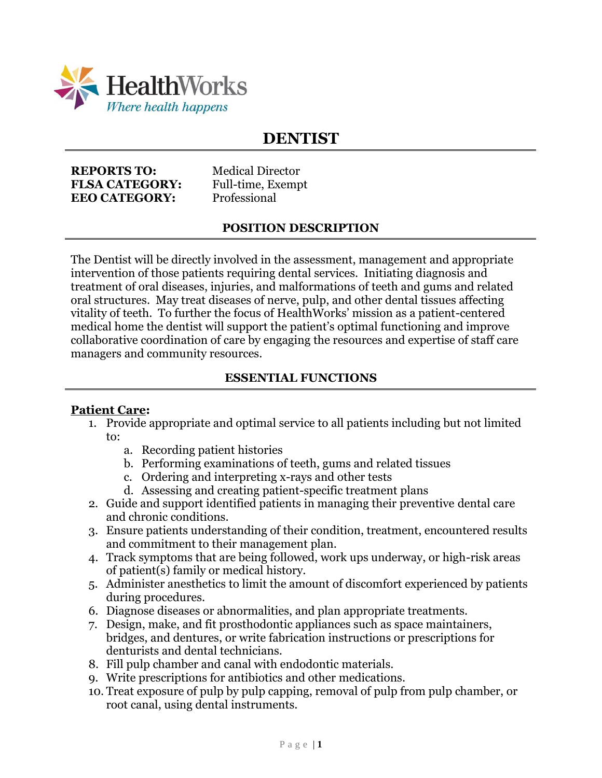

# **DENTIST**

**REPORTS TO:** Medical Director **FLSA CATEGORY:** Full-time, Exempt **EEO CATEGORY:** Professional

### **POSITION DESCRIPTION**

The Dentist will be directly involved in the assessment, management and appropriate intervention of those patients requiring dental services. Initiating diagnosis and treatment of oral diseases, injuries, and malformations of teeth and gums and related oral structures. May treat diseases of nerve, pulp, and other dental tissues affecting vitality of teeth. To further the focus of HealthWorks' mission as a patient-centered medical home the dentist will support the patient's optimal functioning and improve collaborative coordination of care by engaging the resources and expertise of staff care managers and community resources.

### **ESSENTIAL FUNCTIONS**

#### **Patient Care:**

- 1. Provide appropriate and optimal service to all patients including but not limited to:
	- a. Recording patient histories
	- b. Performing examinations of teeth, gums and related tissues
	- c. Ordering and interpreting x-rays and other tests
	- d. Assessing and creating patient-specific treatment plans
- 2. Guide and support identified patients in managing their preventive dental care and chronic conditions.
- 3. Ensure patients understanding of their condition, treatment, encountered results and commitment to their management plan.
- 4. Track symptoms that are being followed, work ups underway, or high-risk areas of patient(s) family or medical history.
- 5. Administer anesthetics to limit the amount of discomfort experienced by patients during procedures.
- 6. Diagnose diseases or abnormalities, and plan appropriate treatments.
- 7. Design, make, and fit prosthodontic appliances such as space maintainers, bridges, and dentures, or write fabrication instructions or prescriptions for denturists and dental technicians.
- 8. Fill pulp chamber and canal with endodontic materials.
- 9. Write prescriptions for antibiotics and other medications.
- 10. Treat exposure of pulp by pulp capping, removal of pulp from pulp chamber, or root canal, using dental instruments.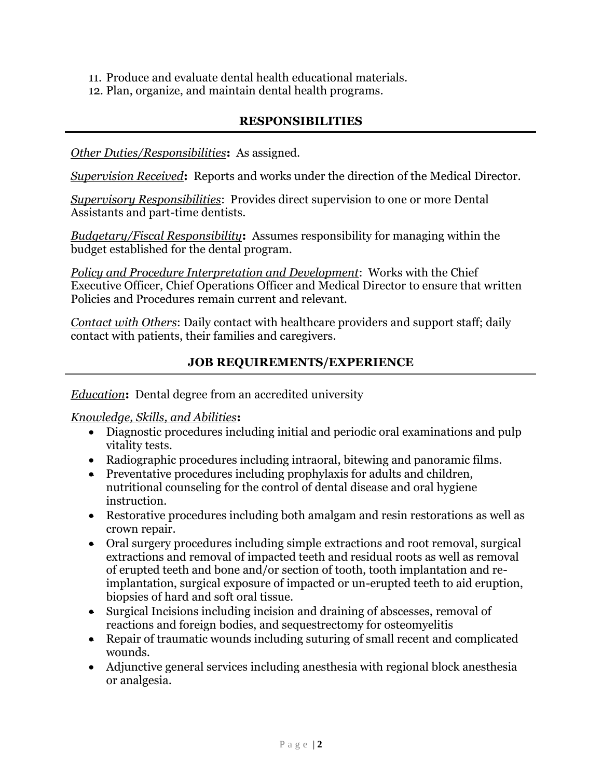- 11. Produce and evaluate dental health educational materials.
- 12. Plan, organize, and maintain dental health programs.

### **RESPONSIBILITIES**

*Other Duties/Responsibilities***:** As assigned.

*Supervision Received***:** Reports and works under the direction of the Medical Director.

*Supervisory Responsibilities*: Provides direct supervision to one or more Dental Assistants and part-time dentists.

*Budgetary/Fiscal Responsibility***:** Assumes responsibility for managing within the budget established for the dental program.

*Policy and Procedure Interpretation and Development*: Works with the Chief Executive Officer, Chief Operations Officer and Medical Director to ensure that written Policies and Procedures remain current and relevant.

*Contact with Others*: Daily contact with healthcare providers and support staff; daily contact with patients, their families and caregivers.

### **JOB REQUIREMENTS/EXPERIENCE**

*Education***:** Dental degree from an accredited university

*Knowledge, Skills, and Abilities***:**

- Diagnostic procedures including initial and periodic oral examinations and pulp vitality tests.
- Radiographic procedures including intraoral, bitewing and panoramic films.
- Preventative procedures including prophylaxis for adults and children, nutritional counseling for the control of dental disease and oral hygiene instruction.
- Restorative procedures including both amalgam and resin restorations as well as crown repair.
- Oral surgery procedures including simple extractions and root removal, surgical extractions and removal of impacted teeth and residual roots as well as removal of erupted teeth and bone and/or section of tooth, tooth implantation and reimplantation, surgical exposure of impacted or un-erupted teeth to aid eruption, biopsies of hard and soft oral tissue.
- Surgical Incisions including incision and draining of abscesses, removal of reactions and foreign bodies, and sequestrectomy for osteomyelitis
- Repair of traumatic wounds including suturing of small recent and complicated wounds.
- Adjunctive general services including anesthesia with regional block anesthesia or analgesia.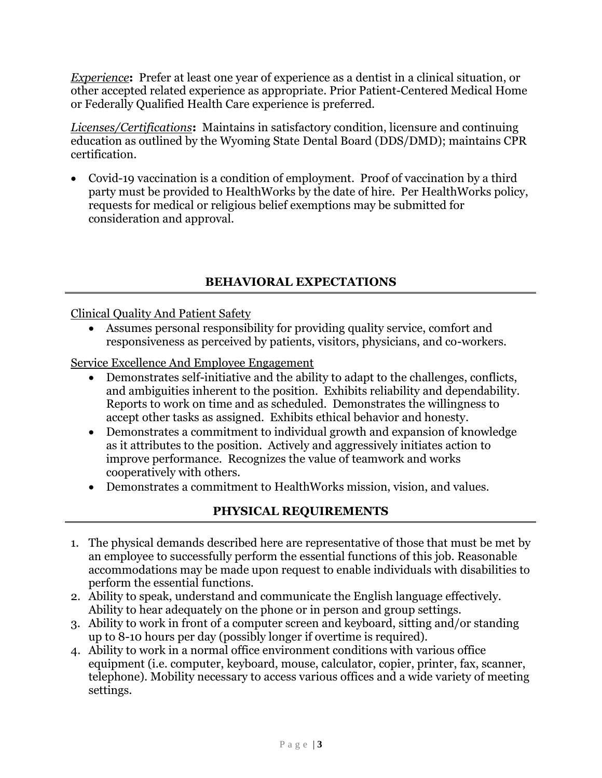*Experience***:** Prefer at least one year of experience as a dentist in a clinical situation, or other accepted related experience as appropriate. Prior Patient-Centered Medical Home or Federally Qualified Health Care experience is preferred.

*Licenses/Certifications***:** Maintains in satisfactory condition, licensure and continuing education as outlined by the Wyoming State Dental Board (DDS/DMD); maintains CPR certification.

• Covid-19 vaccination is a condition of employment. Proof of vaccination by a third party must be provided to HealthWorks by the date of hire. Per HealthWorks policy, requests for medical or religious belief exemptions may be submitted for consideration and approval.

# **BEHAVIORAL EXPECTATIONS**

### Clinical Quality And Patient Safety

• Assumes personal responsibility for providing quality service, comfort and responsiveness as perceived by patients, visitors, physicians, and co-workers.

Service Excellence And Employee Engagement

- Demonstrates self-initiative and the ability to adapt to the challenges, conflicts, and ambiguities inherent to the position. Exhibits reliability and dependability. Reports to work on time and as scheduled. Demonstrates the willingness to accept other tasks as assigned. Exhibits ethical behavior and honesty.
- Demonstrates a commitment to individual growth and expansion of knowledge as it attributes to the position. Actively and aggressively initiates action to improve performance. Recognizes the value of teamwork and works cooperatively with others.
- Demonstrates a commitment to HealthWorks mission, vision, and values.

# **PHYSICAL REQUIREMENTS**

- 1. The physical demands described here are representative of those that must be met by an employee to successfully perform the essential functions of this job. Reasonable accommodations may be made upon request to enable individuals with disabilities to perform the essential functions.
- 2. Ability to speak, understand and communicate the English language effectively. Ability to hear adequately on the phone or in person and group settings.
- 3. Ability to work in front of a computer screen and keyboard, sitting and/or standing up to 8-10 hours per day (possibly longer if overtime is required).
- 4. Ability to work in a normal office environment conditions with various office equipment (i.e. computer, keyboard, mouse, calculator, copier, printer, fax, scanner, telephone). Mobility necessary to access various offices and a wide variety of meeting settings.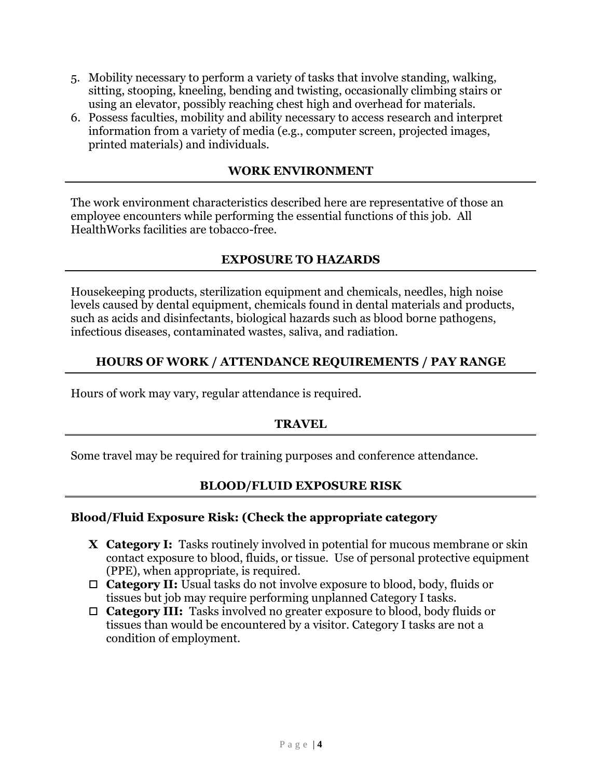- 5. Mobility necessary to perform a variety of tasks that involve standing, walking, sitting, stooping, kneeling, bending and twisting, occasionally climbing stairs or using an elevator, possibly reaching chest high and overhead for materials.
- 6. Possess faculties, mobility and ability necessary to access research and interpret information from a variety of media (e.g., computer screen, projected images, printed materials) and individuals.

#### **WORK ENVIRONMENT**

The work environment characteristics described here are representative of those an employee encounters while performing the essential functions of this job. All HealthWorks facilities are tobacco-free.

### **EXPOSURE TO HAZARDS**

Housekeeping products, sterilization equipment and chemicals, needles, high noise levels caused by dental equipment, chemicals found in dental materials and products, such as acids and disinfectants, biological hazards such as blood borne pathogens, infectious diseases, contaminated wastes, saliva, and radiation.

### **HOURS OF WORK / ATTENDANCE REQUIREMENTS / PAY RANGE**

Hours of work may vary, regular attendance is required.

# **TRAVEL**

Some travel may be required for training purposes and conference attendance.

### **BLOOD/FLUID EXPOSURE RISK**

#### **Blood/Fluid Exposure Risk: (Check the appropriate category**

- **X Category I:** Tasks routinely involved in potential for mucous membrane or skin contact exposure to blood, fluids, or tissue. Use of personal protective equipment (PPE), when appropriate, is required.
- **Category II:** Usual tasks do not involve exposure to blood, body, fluids or tissues but job may require performing unplanned Category I tasks.
- **Category III:** Tasks involved no greater exposure to blood, body fluids or tissues than would be encountered by a visitor. Category I tasks are not a condition of employment.